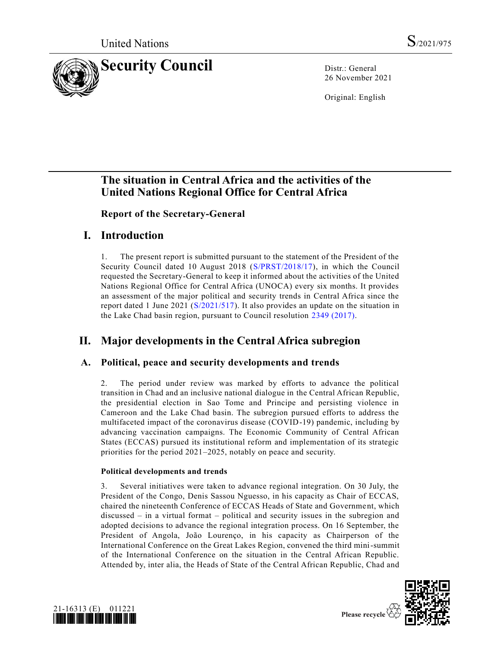

26 November 2021

Original: English

# **The situation in Central Africa and the activities of the United Nations Regional Office for Central Africa**

**Report of the Secretary-General**

# **I. Introduction**

1. The present report is submitted pursuant to the statement of the President of the Security Council dated 10 August 2018 [\(S/PRST/2018/17\)](https://undocs.org/en/S/PRST/2018/17), in which the Council requested the Secretary-General to keep it informed about the activities of the United Nations Regional Office for Central Africa (UNOCA) every six months. It provides an assessment of the major political and security trends in Central Africa since the report dated 1 June 2021 [\(S/2021/517\)](https://undocs.org/en/S/2021/517). It also provides an update on the situation in the Lake Chad basin region, pursuant to Council resolution [2349 \(2017\).](https://undocs.org/en/S/RES/2349(2017))

# **II. Major developments in the Central Africa subregion**

# **A. Political, peace and security developments and trends**

2. The period under review was marked by efforts to advance the political transition in Chad and an inclusive national dialogue in the Central African Republic, the presidential election in Sao Tome and Principe and persisting violence in Cameroon and the Lake Chad basin. The subregion pursued efforts to address the multifaceted impact of the coronavirus disease (COVID-19) pandemic, including by advancing vaccination campaigns. The Economic Community of Central African States (ECCAS) pursued its institutional reform and implementation of its strategic priorities for the period 2021–2025, notably on peace and security.

## **Political developments and trends**

3. Several initiatives were taken to advance regional integration. On 30 July, the President of the Congo, Denis Sassou Nguesso, in his capacity as Chair of ECCAS, chaired the nineteenth Conference of ECCAS Heads of State and Government, which discussed – in a virtual format – political and security issues in the subregion and adopted decisions to advance the regional integration process. On 16 September, the President of Angola, João Lourenço, in his capacity as Chairperson of the International Conference on the Great Lakes Region, convened the third mini-summit of the International Conference on the situation in the Central African Republic. Attended by, inter alia, the Heads of State of the Central African Republic, Chad and



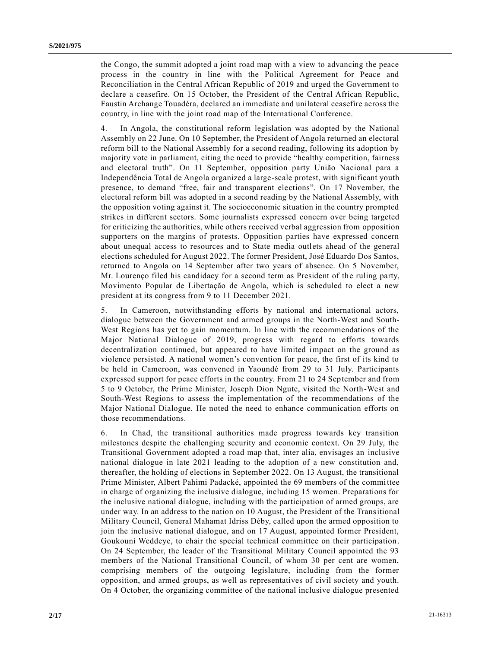the Congo, the summit adopted a joint road map with a view to advancing the peace process in the country in line with the Political Agreement for Peace and Reconciliation in the Central African Republic of 2019 and urged the Government to declare a ceasefire. On 15 October, the President of the Central African Republic, Faustin Archange Touadéra, declared an immediate and unilateral ceasefire across the country, in line with the joint road map of the International Conference.

4. In Angola, the constitutional reform legislation was adopted by the National Assembly on 22 June. On 10 September, the President of Angola returned an electoral reform bill to the National Assembly for a second reading, following its adoption by majority vote in parliament, citing the need to provide "healthy competition, fairness and electoral truth". On 11 September, opposition party União Nacional para a Independência Total de Angola organized a large-scale protest, with significant youth presence, to demand "free, fair and transparent elections". On 17 November, the electoral reform bill was adopted in a second reading by the National Assembly, with the opposition voting against it. The socioeconomic situation in the country prompted strikes in different sectors. Some journalists expressed concern over being targeted for criticizing the authorities, while others received verbal aggression from opposition supporters on the margins of protests. Opposition parties have expressed concern about unequal access to resources and to State media outlets ahead of the general elections scheduled for August 2022. The former President, José Eduardo Dos Santos, returned to Angola on 14 September after two years of absence. On 5 November, Mr. Lourenço filed his candidacy for a second term as President of the ruling party, Movimento Popular de Libertação de Angola, which is scheduled to elect a new president at its congress from 9 to 11 December 2021.

5. In Cameroon, notwithstanding efforts by national and international actors, dialogue between the Government and armed groups in the North-West and South-West Regions has yet to gain momentum. In line with the recommendations of the Major National Dialogue of 2019, progress with regard to efforts towards decentralization continued, but appeared to have limited impact on the ground as violence persisted. A national women's convention for peace, the first of its kind to be held in Cameroon, was convened in Yaoundé from 29 to 31 July. Participants expressed support for peace efforts in the country. From 21 to 24 September and from 5 to 9 October, the Prime Minister, Joseph Dion Ngute, visited the North-West and South-West Regions to assess the implementation of the recommendations of the Major National Dialogue. He noted the need to enhance communication efforts on those recommendations.

6. In Chad, the transitional authorities made progress towards key transition milestones despite the challenging security and economic context. On 29 July, the Transitional Government adopted a road map that, inter alia, envisages an inclusive national dialogue in late 2021 leading to the adoption of a new constitution and, thereafter, the holding of elections in September 2022. On 13 August, the transitional Prime Minister, Albert Pahimi Padacké, appointed the 69 members of the committee in charge of organizing the inclusive dialogue, including 15 women. Preparations for the inclusive national dialogue, including with the participation of armed groups, are under way. In an address to the nation on 10 August, the President of the Transitional Military Council, General Mahamat Idriss Déby, called upon the armed opposition to join the inclusive national dialogue, and on 17 August, appointed former President, Goukouni Weddeye, to chair the special technical committee on their participation . On 24 September, the leader of the Transitional Military Council appointed the 93 members of the National Transitional Council, of whom 30 per cent are women, comprising members of the outgoing legislature, including from the former opposition, and armed groups, as well as representatives of civil society and youth. On 4 October, the organizing committee of the national inclusive dialogue presented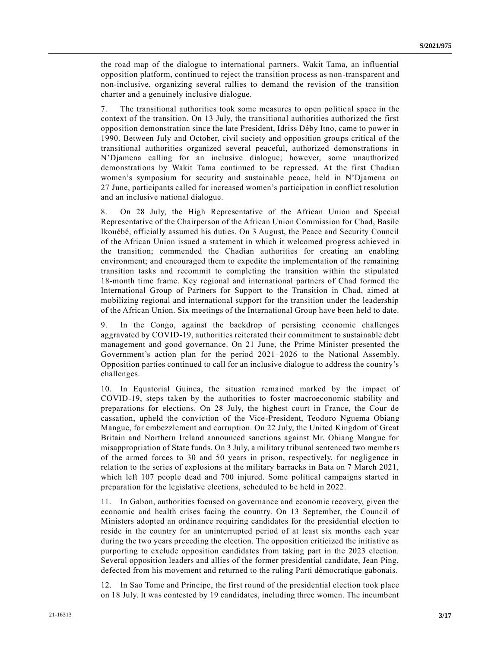the road map of the dialogue to international partners. Wakit Tama, an influential opposition platform, continued to reject the transition process as non-transparent and non-inclusive, organizing several rallies to demand the revision of the transition charter and a genuinely inclusive dialogue.

7. The transitional authorities took some measures to open politic al space in the context of the transition. On 13 July, the transitional authorities authorized the first opposition demonstration since the late President, Idriss Déby Itno, came to power in 1990. Between July and October, civil society and opposition groups critical of the transitional authorities organized several peaceful, authorized demonstrations in N'Djamena calling for an inclusive dialogue; however, some unauthorized demonstrations by Wakit Tama continued to be repressed. At the first Chadian women's symposium for security and sustainable peace, held in N'Djamena on 27 June, participants called for increased women's participation in conflict resolution and an inclusive national dialogue.

8. On 28 July, the High Representative of the African Union and Special Representative of the Chairperson of the African Union Commission for Chad, Basile Ikouébé, officially assumed his duties. On 3 August, the Peace and Security Council of the African Union issued a statement in which it welcomed progress achieved in the transition; commended the Chadian authorities for creating an enabling environment; and encouraged them to expedite the implementation of the remaining transition tasks and recommit to completing the transition within the stipulated 18-month time frame. Key regional and international partners of Chad formed the International Group of Partners for Support to the Transition in Chad, aimed at mobilizing regional and international support for the transition under the leadership of the African Union. Six meetings of the International Group have been held to date.

9. In the Congo, against the backdrop of persisting economic challenges aggravated by COVID-19, authorities reiterated their commitment to sustainable debt management and good governance. On 21 June, the Prime Minister presented the Government's action plan for the period 2021–2026 to the National Assembly. Opposition parties continued to call for an inclusive dialogue to address the country's challenges.

10. In Equatorial Guinea, the situation remained marked by the impact of COVID-19, steps taken by the authorities to foster macroeconomic stability and preparations for elections. On 28 July, the highest court in France, the Cour de cassation, upheld the conviction of the Vice-President, Teodoro Nguema Obiang Mangue, for embezzlement and corruption. On 22 July, the United Kingdom of Great Britain and Northern Ireland announced sanctions against Mr. Obiang Mangue for misappropriation of State funds. On 3 July, a military tribunal sentenced two membe rs of the armed forces to 30 and 50 years in prison, respectively, for negligence in relation to the series of explosions at the military barracks in Bata on 7 March 2021, which left 107 people dead and 700 injured. Some political campaigns started in preparation for the legislative elections, scheduled to be held in 2022.

11. In Gabon, authorities focused on governance and economic recovery, given the economic and health crises facing the country. On 13 September, the Council of Ministers adopted an ordinance requiring candidates for the presidential election to reside in the country for an uninterrupted period of at least six months each year during the two years preceding the election. The opposition criticized the initiative as purporting to exclude opposition candidates from taking part in the 2023 election. Several opposition leaders and allies of the former presidential candidate, Jean Ping, defected from his movement and returned to the ruling Parti démocratique gabonais.

12. In Sao Tome and Principe, the first round of the presidential election took place on 18 July. It was contested by 19 candidates, including three women. The incumbent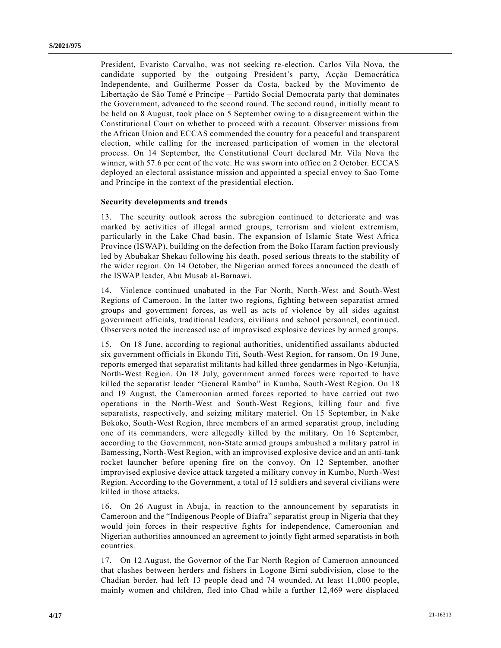President, Evaristo Carvalho, was not seeking re-election. Carlos Vila Nova, the candidate supported by the outgoing President's party, Acção Democrática Independente, and Guilherme Posser da Costa, backed by the Movimento de Libertação de São Tomé e Príncipe – Partido Social Democrata party that dominates the Government, advanced to the second round. The second round, initially meant to be held on 8 August, took place on 5 September owing to a disagreement within the Constitutional Court on whether to proceed with a recount. Observer missions from the African Union and ECCAS commended the country for a peaceful and transparent election, while calling for the increased participation of women in the electoral process. On 14 September, the Constitutional Court declared Mr. Vila Nova the winner, with 57.6 per cent of the vote. He was sworn into office on 2 October. ECCAS deployed an electoral assistance mission and appointed a special envoy to Sao Tome and Principe in the context of the presidential election.

#### **Security developments and trends**

13. The security outlook across the subregion continued to deteriorate and was marked by activities of illegal armed groups, terrorism and violent extremism, particularly in the Lake Chad basin. The expansion of Islamic State West Africa Province (ISWAP), building on the defection from the Boko Haram faction previously led by Abubakar Shekau following his death, posed serious threats to the stability of the wider region. On 14 October, the Nigerian armed forces announced the death of the ISWAP leader, Abu Musab al-Barnawi.

14. Violence continued unabated in the Far North, North-West and South-West Regions of Cameroon. In the latter two regions, fighting between separatist armed groups and government forces, as well as acts of violence by all sides against government officials, traditional leaders, civilians and school personnel, contin ued. Observers noted the increased use of improvised explosive devices by armed groups.

15. On 18 June, according to regional authorities, unidentified assailants abducted six government officials in Ekondo Titi, South-West Region, for ransom. On 19 June, reports emerged that separatist militants had killed three gendarmes in Ngo-Ketunjia, North-West Region. On 18 July, government armed forces were reported to have killed the separatist leader "General Rambo" in Kumba, South-West Region. On 18 and 19 August, the Cameroonian armed forces reported to have carried out two operations in the North-West and South-West Regions, killing four and five separatists, respectively, and seizing military materiel. On 15 September, in Nake Bokoko, South-West Region, three members of an armed separatist group, including one of its commanders, were allegedly killed by the military. On 16 September, according to the Government, non-State armed groups ambushed a military patrol in Bamessing, North-West Region, with an improvised explosive device and an anti-tank rocket launcher before opening fire on the convoy. On 12 September, another improvised explosive device attack targeted a military convoy in Kumbo, North-West Region. According to the Government, a total of 15 soldiers and several civilians were killed in those attacks.

16. On 26 August in Abuja, in reaction to the announcement by separatists in Cameroon and the "Indigenous People of Biafra" separatist group in Nigeria that they would join forces in their respective fights for independence, Cameroonian and Nigerian authorities announced an agreement to jointly fight armed separatists in both countries.

17. On 12 August, the Governor of the Far North Region of Cameroon announced that clashes between herders and fishers in Logone Birni subdivision, close to the Chadian border, had left 13 people dead and 74 wounded. At least 11,000 people, mainly women and children, fled into Chad while a further 12,469 were displaced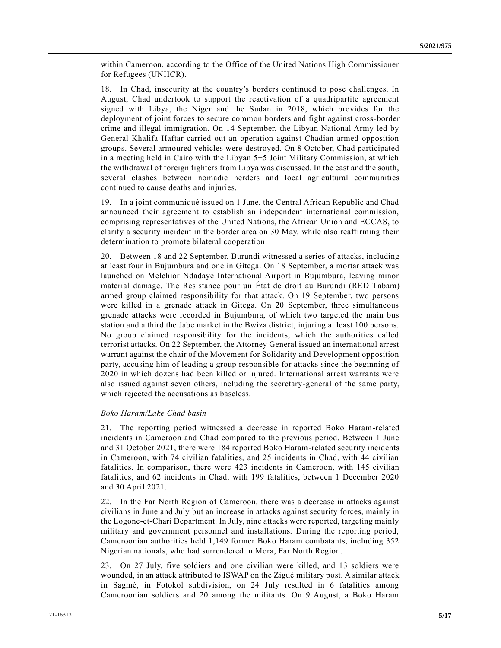within Cameroon, according to the Office of the United Nations High Commissioner for Refugees (UNHCR).

18. In Chad, insecurity at the country's borders continued to pose challenges. In August, Chad undertook to support the reactivation of a quadripartite agreement signed with Libya, the Niger and the Sudan in 2018, which provides for the deployment of joint forces to secure common borders and fight against cross-border crime and illegal immigration. On 14 September, the Libyan National Army led by General Khalifa Haftar carried out an operation against Chadian armed opposition groups. Several armoured vehicles were destroyed. On 8 October, Chad participated in a meeting held in Cairo with the Libyan 5+5 Joint Military Commission, at which the withdrawal of foreign fighters from Libya was discussed. In the east and the south, several clashes between nomadic herders and local agricultural communities continued to cause deaths and injuries.

19. In a joint communiqué issued on 1 June, the Central African Republic and Chad announced their agreement to establish an independent international commission, comprising representatives of the United Nations, the African Union and ECCAS, to clarify a security incident in the border area on 30 May, while also reaffirming their determination to promote bilateral cooperation.

20. Between 18 and 22 September, Burundi witnessed a series of attacks, including at least four in Bujumbura and one in Gitega. On 18 September, a mortar attack was launched on Melchior Ndadaye International Airport in Bujumbura, leaving minor material damage. The Résistance pour un État de droit au Burundi (RED Tabara) armed group claimed responsibility for that attack. On 19 September, two persons were killed in a grenade attack in Gitega. On 20 September, three simultaneous grenade attacks were recorded in Bujumbura, of which two targeted the main bus station and a third the Jabe market in the Bwiza district, injuring at least 100 persons. No group claimed responsibility for the incidents, which the authorities called terrorist attacks. On 22 September, the Attorney General issued an international arrest warrant against the chair of the Movement for Solidarity and Development opposition party, accusing him of leading a group responsible for attacks since the beginning of 2020 in which dozens had been killed or injured. International arrest warrants were also issued against seven others, including the secretary-general of the same party, which rejected the accusations as baseless.

#### *Boko Haram/Lake Chad basin*

21. The reporting period witnessed a decrease in reported Boko Haram-related incidents in Cameroon and Chad compared to the previous period. Between 1 June and 31 October 2021, there were 184 reported Boko Haram-related security incidents in Cameroon, with 74 civilian fatalities, and 25 incidents in Chad, with 44 civilian fatalities. In comparison, there were 423 incidents in Cameroon, with 145 civilian fatalities, and 62 incidents in Chad, with 199 fatalities, between 1 December 2020 and 30 April 2021.

22. In the Far North Region of Cameroon, there was a decrease in attacks against civilians in June and July but an increase in attacks against security forces, mainly in the Logone-et-Chari Department. In July, nine attacks were reported, targeting mainly military and government personnel and installations. During the reporting period, Cameroonian authorities held 1,149 former Boko Haram combatants, including 352 Nigerian nationals, who had surrendered in Mora, Far North Region.

23. On 27 July, five soldiers and one civilian were killed, and 13 soldiers were wounded, in an attack attributed to ISWAP on the Zigué military post. A similar attack in Sagmé, in Fotokol subdivision, on 24 July resulted in 6 fatalities among Cameroonian soldiers and 20 among the militants. On 9 August, a Boko Haram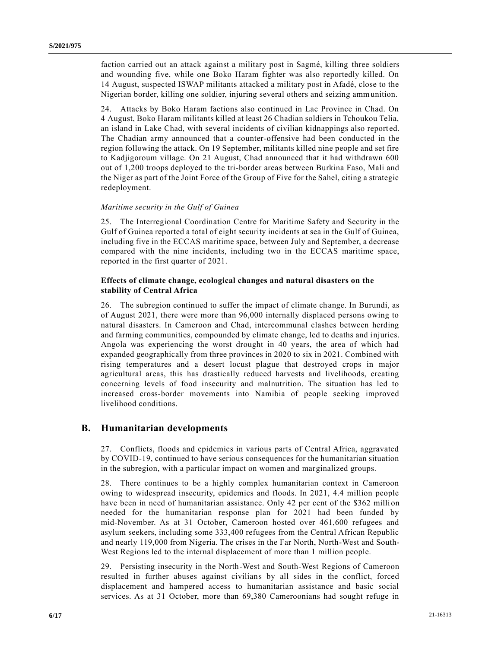faction carried out an attack against a military post in Sagmé, killing three soldiers and wounding five, while one Boko Haram fighter was also reportedly killed. On 14 August, suspected ISWAP militants attacked a military post in Afadé, close to the Nigerian border, killing one soldier, injuring several others and seizing ammunition.

24. Attacks by Boko Haram factions also continued in Lac Province in Chad. On 4 August, Boko Haram militants killed at least 26 Chadian soldiers in Tchoukou Telia, an island in Lake Chad, with several incidents of civilian kidnappings also report ed. The Chadian army announced that a counter-offensive had been conducted in the region following the attack. On 19 September, militants killed nine people and set fire to Kadjigoroum village. On 21 August, Chad announced that it had withdrawn 600 out of 1,200 troops deployed to the tri-border areas between Burkina Faso, Mali and the Niger as part of the Joint Force of the Group of Five for the Sahel, citing a strategic redeployment.

#### *Maritime security in the Gulf of Guinea*

25. The Interregional Coordination Centre for Maritime Safety and Security in the Gulf of Guinea reported a total of eight security incidents at sea in the Gulf of Guinea, including five in the ECCAS maritime space, between July and September, a decrease compared with the nine incidents, including two in the ECCAS maritime space, reported in the first quarter of 2021.

#### **Effects of climate change, ecological changes and natural disasters on the stability of Central Africa**

26. The subregion continued to suffer the impact of climate change. In Burundi, as of August 2021, there were more than 96,000 internally displaced persons owing to natural disasters. In Cameroon and Chad, intercommunal clashes between herding and farming communities, compounded by climate change, led to deaths and injuries. Angola was experiencing the worst drought in 40 years, the area of which had expanded geographically from three provinces in 2020 to six in 2021. Combined with rising temperatures and a desert locust plague that destroyed crops in major agricultural areas, this has drastically reduced harvests and livelihoods, creating concerning levels of food insecurity and malnutrition. The situation has led to increased cross-border movements into Namibia of people seeking improved livelihood conditions.

#### **B. Humanitarian developments**

27. Conflicts, floods and epidemics in various parts of Central Africa, aggravated by COVID-19, continued to have serious consequences for the humanitarian situation in the subregion, with a particular impact on women and marginalized groups.

28. There continues to be a highly complex humanitarian context in Cameroon owing to widespread insecurity, epidemics and floods. In 2021, 4.4 million people have been in need of humanitarian assistance. Only 42 per cent of the \$362 million needed for the humanitarian response plan for 2021 had been funded by mid-November. As at 31 October, Cameroon hosted over 461,600 refugees and asylum seekers, including some 333,400 refugees from the Central African Republic and nearly 119,000 from Nigeria. The crises in the Far North, North-West and South-West Regions led to the internal displacement of more than 1 million people.

29. Persisting insecurity in the North-West and South-West Regions of Cameroon resulted in further abuses against civilians by all sides in the conflict, forced displacement and hampered access to humanitarian assistance and basic social services. As at 31 October, more than 69,380 Cameroonians had sought refuge in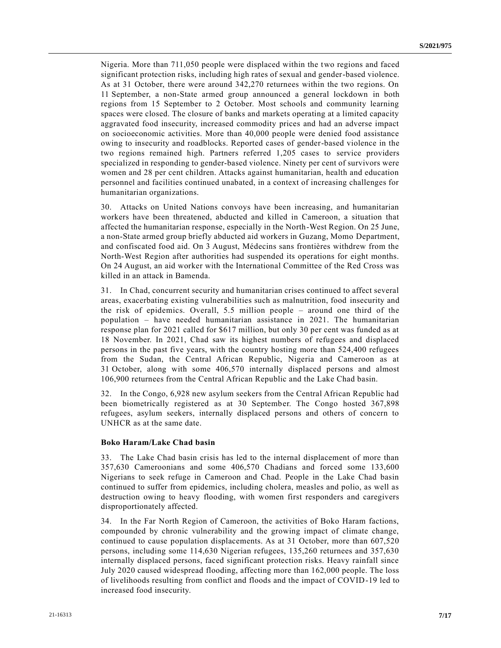Nigeria. More than 711,050 people were displaced within the two regions and faced significant protection risks, including high rates of sexual and gender-based violence. As at 31 October, there were around 342,270 returnees within the two regions. On 11 September, a non-State armed group announced a general lockdown in both regions from 15 September to 2 October. Most schools and community learning spaces were closed. The closure of banks and markets operating at a limited capacity aggravated food insecurity, increased commodity prices and had an adverse impact on socioeconomic activities. More than 40,000 people were denied food assistance owing to insecurity and roadblocks. Reported cases of gender-based violence in the two regions remained high. Partners referred 1,205 cases to service providers specialized in responding to gender-based violence. Ninety per cent of survivors were women and 28 per cent children. Attacks against humanitarian, health and education personnel and facilities continued unabated, in a context of increasing challenges for humanitarian organizations.

30. Attacks on United Nations convoys have been increasing, and humanitarian workers have been threatened, abducted and killed in Cameroon, a situation that affected the humanitarian response, especially in the North-West Region. On 25 June, a non-State armed group briefly abducted aid workers in Guzang, Momo Department, and confiscated food aid. On 3 August, Médecins sans frontières withdrew from the North-West Region after authorities had suspended its operations for eight months. On 24 August, an aid worker with the International Committee of the Red Cross was killed in an attack in Bamenda.

31. In Chad, concurrent security and humanitarian crises continued to affect several areas, exacerbating existing vulnerabilities such as malnutrition, food insecurity and the risk of epidemics. Overall, 5.5 million people – around one third of the population – have needed humanitarian assistance in 2021. The humanitarian response plan for 2021 called for \$617 million, but only 30 per cent was funded as at 18 November. In 2021, Chad saw its highest numbers of refugees and displaced persons in the past five years, with the country hosting more than 524,400 refugees from the Sudan, the Central African Republic, Nigeria and Cameroon as at 31 October, along with some 406,570 internally displaced persons and almost 106,900 returnees from the Central African Republic and the Lake Chad basin.

32. In the Congo, 6,928 new asylum seekers from the Central African Republic had been biometrically registered as at 30 September. The Congo hosted 367,898 refugees, asylum seekers, internally displaced persons and others of concern to UNHCR as at the same date.

#### **Boko Haram/Lake Chad basin**

33. The Lake Chad basin crisis has led to the internal displacement of more than 357,630 Cameroonians and some 406,570 Chadians and forced some 133,600 Nigerians to seek refuge in Cameroon and Chad. People in the Lake Chad basin continued to suffer from epidemics, including cholera, measles and polio, as well as destruction owing to heavy flooding, with women first responders and caregivers disproportionately affected.

34. In the Far North Region of Cameroon, the activities of Boko Haram factions, compounded by chronic vulnerability and the growing impact of climate change, continued to cause population displacements. As at 31 October, more than 607,520 persons, including some 114,630 Nigerian refugees, 135,260 returnees and 357,630 internally displaced persons, faced significant protection risks. Heavy rainfall since July 2020 caused widespread flooding, affecting more than 162,000 people. The loss of livelihoods resulting from conflict and floods and the impact of COVID-19 led to increased food insecurity.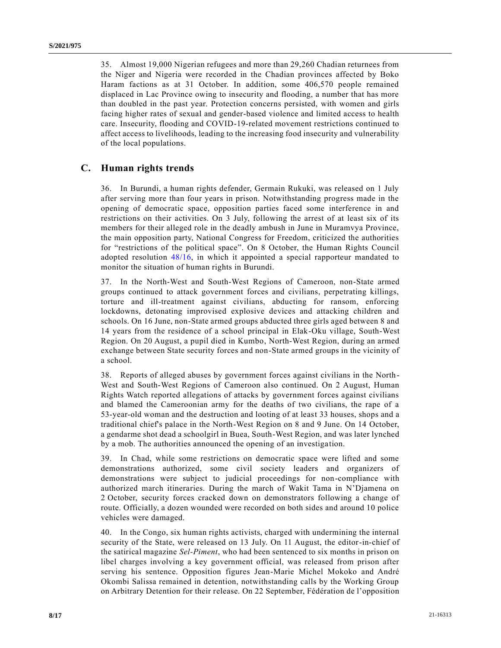35. Almost 19,000 Nigerian refugees and more than 29,260 Chadian returnees from the Niger and Nigeria were recorded in the Chadian provinces affected by Boko Haram factions as at 31 October. In addition, some 406,570 people remained displaced in Lac Province owing to insecurity and flooding, a number that has more than doubled in the past year. Protection concerns persisted, with women and girls facing higher rates of sexual and gender-based violence and limited access to health care. Insecurity, flooding and COVID-19-related movement restrictions continued to affect access to livelihoods, leading to the increasing food insecurity and vulnerability of the local populations.

## **C. Human rights trends**

36. In Burundi, a human rights defender, Germain Rukuki, was released on 1 July after serving more than four years in prison. Notwithstanding progress made in the opening of democratic space, opposition parties faced some interference in and restrictions on their activities. On 3 July, following the arrest of at least six of its members for their alleged role in the deadly ambush in June in Muramvya Province, the main opposition party, National Congress for Freedom, criticized the authorities for "restrictions of the political space". On 8 October, the Human Rights Council adopted resolution [48/16,](https://undocs.org/a/HRC/RES/48/16) in which it appointed a special rapporteur mandated to monitor the situation of human rights in Burundi.

37. In the North-West and South-West Regions of Cameroon, non-State armed groups continued to attack government forces and civilians, perpetrating killings, torture and ill-treatment against civilians, abducting for ransom, enforcing lockdowns, detonating improvised explosive devices and attacking children and schools. On 16 June, non-State armed groups abducted three girls aged between 8 and 14 years from the residence of a school principal in Elak-Oku village, South-West Region. On 20 August, a pupil died in Kumbo, North-West Region, during an armed exchange between State security forces and non-State armed groups in the vicinity of a school.

38. Reports of alleged abuses by government forces against civilians in the North-West and South-West Regions of Cameroon also continued. On 2 August, Human Rights Watch reported allegations of attacks by government forces against civilians and blamed the Cameroonian army for the deaths of two civilians, the rape of a 53-year-old woman and the destruction and looting of at least 33 houses, shops and a traditional chief's palace in the North-West Region on 8 and 9 June. On 14 October, a gendarme shot dead a schoolgirl in Buea, South-West Region, and was later lynched by a mob. The authorities announced the opening of an investigation.

39. In Chad, while some restrictions on democratic space were lifted and some demonstrations authorized, some civil society leaders and organizers of demonstrations were subject to judicial proceedings for non-compliance with authorized march itineraries. During the march of Wakit Tama in N'Djamena on 2 October, security forces cracked down on demonstrators following a change of route. Officially, a dozen wounded were recorded on both sides and around 10 police vehicles were damaged.

40. In the Congo, six human rights activists, charged with undermining the internal security of the State, were released on 13 July. On 11 August, the editor-in-chief of the satirical magazine *Sel-Piment*, who had been sentenced to six months in prison on libel charges involving a key government official, was released from prison after serving his sentence. Opposition figures Jean-Marie Michel Mokoko and André Okombi Salissa remained in detention, notwithstanding calls by the Working Group on Arbitrary Detention for their release. On 22 September, Fédération de l'opposition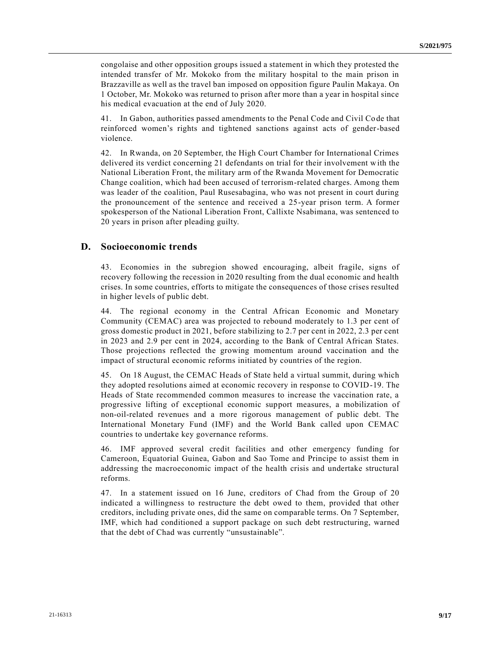congolaise and other opposition groups issued a statement in which they protested the intended transfer of Mr. Mokoko from the military hospital to the main prison in Brazzaville as well as the travel ban imposed on opposition figure Paulin Makaya. On 1 October, Mr. Mokoko was returned to prison after more than a year in hospital since his medical evacuation at the end of July 2020.

41. In Gabon, authorities passed amendments to the Penal Code and Civil Code that reinforced women's rights and tightened sanctions against acts of gender-based violence.

42. In Rwanda, on 20 September, the High Court Chamber for International Crimes delivered its verdict concerning 21 defendants on trial for their involvement with the National Liberation Front, the military arm of the Rwanda Movement for Democratic Change coalition, which had been accused of terrorism-related charges. Among them was leader of the coalition, Paul Rusesabagina, who was not present in court during the pronouncement of the sentence and received a 25-year prison term. A former spokesperson of the National Liberation Front, Callixte Nsabimana, was sentenced to 20 years in prison after pleading guilty.

## **D. Socioeconomic trends**

43. Economies in the subregion showed encouraging, albeit fragile, signs of recovery following the recession in 2020 resulting from the dual economic and health crises. In some countries, efforts to mitigate the consequences of those crises resulted in higher levels of public debt.

44. The regional economy in the Central African Economic and Monetary Community (CEMAC) area was projected to rebound moderately to 1.3 per cent of gross domestic product in 2021, before stabilizing to 2.7 per cent in 2022, 2.3 per cent in 2023 and 2.9 per cent in 2024, according to the Bank of Central African States. Those projections reflected the growing momentum around vaccination and the impact of structural economic reforms initiated by countries of the region.

45. On 18 August, the CEMAC Heads of State held a virtual summit, during which they adopted resolutions aimed at economic recovery in response to COVID-19. The Heads of State recommended common measures to increase the vaccination rate, a progressive lifting of exceptional economic support measures, a mobilization of non-oil-related revenues and a more rigorous management of public debt. The International Monetary Fund (IMF) and the World Bank called upon CEMAC countries to undertake key governance reforms.

46. IMF approved several credit facilities and other emergency funding for Cameroon, Equatorial Guinea, Gabon and Sao Tome and Principe to assist them in addressing the macroeconomic impact of the health crisis and undertake structural reforms.

47. In a statement issued on 16 June, creditors of Chad from the Group of 20 indicated a willingness to restructure the debt owed to them, provided that other creditors, including private ones, did the same on comparable terms. On 7 September, IMF, which had conditioned a support package on such debt restructuring, warned that the debt of Chad was currently "unsustainable".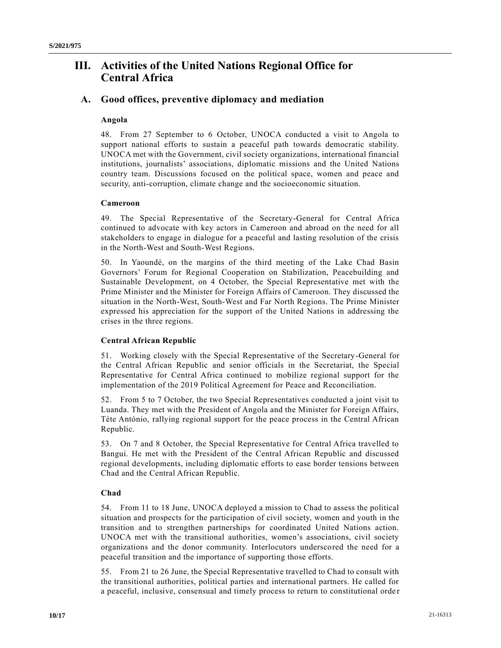# **III. Activities of the United Nations Regional Office for Central Africa**

## **A. Good offices, preventive diplomacy and mediation**

#### **Angola**

48. From 27 September to 6 October, UNOCA conducted a visit to Angola to support national efforts to sustain a peaceful path towards democratic stability. UNOCA met with the Government, civil society organizations, international financial institutions, journalists' associations, diplomatic missions and the United Nations country team. Discussions focused on the political space, women and peace and security, anti-corruption, climate change and the socioeconomic situation.

#### **Cameroon**

49. The Special Representative of the Secretary-General for Central Africa continued to advocate with key actors in Cameroon and abroad on the need for all stakeholders to engage in dialogue for a peaceful and lasting resolution of the crisis in the North-West and South-West Regions.

50. In Yaoundé, on the margins of the third meeting of the Lake Chad Basin Governors' Forum for Regional Cooperation on Stabilization, Peacebuilding and Sustainable Development, on 4 October, the Special Representative met with the Prime Minister and the Minister for Foreign Affairs of Cameroon. They discussed the situation in the North-West, South-West and Far North Regions. The Prime Minister expressed his appreciation for the support of the United Nations in addressing the crises in the three regions.

## **Central African Republic**

51. Working closely with the Special Representative of the Secretary-General for the Central African Republic and senior officials in the Secretariat, the Special Representative for Central Africa continued to mobilize regional support for the implementation of the 2019 Political Agreement for Peace and Reconciliation.

52. From 5 to 7 October, the two Special Representatives conducted a joint visit to Luanda. They met with the President of Angola and the Minister for Foreign Affairs, Téte António, rallying regional support for the peace process in the Central African Republic.

53. On 7 and 8 October, the Special Representative for Central Africa travelled to Bangui. He met with the President of the Central African Republic and discussed regional developments, including diplomatic efforts to ease border tensions between Chad and the Central African Republic.

## **Chad**

54. From 11 to 18 June, UNOCA deployed a mission to Chad to assess the political situation and prospects for the participation of civil society, women and youth in the transition and to strengthen partnerships for coordinated United Nations action. UNOCA met with the transitional authorities, women's associations, civil society organizations and the donor community. Interlocutors underscored the need for a peaceful transition and the importance of supporting those efforts.

55. From 21 to 26 June, the Special Representative travelled to Chad to consult with the transitional authorities, political parties and international partners. He called for a peaceful, inclusive, consensual and timely process to return to constitutional orde r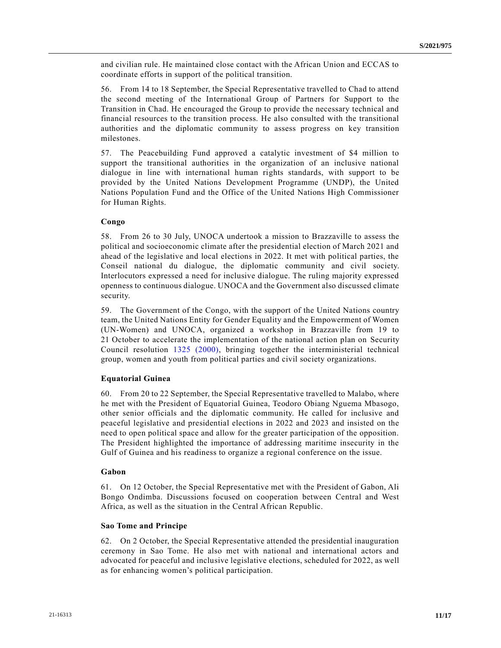and civilian rule. He maintained close contact with the African Union and ECCAS to coordinate efforts in support of the political transition.

56. From 14 to 18 September, the Special Representative travelled to Chad to attend the second meeting of the International Group of Partners for Support to the Transition in Chad. He encouraged the Group to provide the necessary technical and financial resources to the transition process. He also consulted with the transitional authorities and the diplomatic community to assess progress on key transition milestones.

57. The Peacebuilding Fund approved a catalytic investment of \$4 million to support the transitional authorities in the organization of an inclusive national dialogue in line with international human rights standards, with support to be provided by the United Nations Development Programme (UNDP), the United Nations Population Fund and the Office of the United Nations High Commissioner for Human Rights.

#### **Congo**

58. From 26 to 30 July, UNOCA undertook a mission to Brazzaville to assess the political and socioeconomic climate after the presidential election of March 2021 and ahead of the legislative and local elections in 2022. It met with political parties, the Conseil national du dialogue, the diplomatic community and civil society. Interlocutors expressed a need for inclusive dialogue. The ruling majority expressed openness to continuous dialogue. UNOCA and the Government also discussed climate security.

59. The Government of the Congo, with the support of the United Nations country team, the United Nations Entity for Gender Equality and the Empowerment of Women (UN-Women) and UNOCA, organized a workshop in Brazzaville from 19 to 21 October to accelerate the implementation of the national action plan on Security Council resolution [1325 \(2000\),](https://undocs.org/en/S/RES/1325(2000)) bringing together the interministerial technical group, women and youth from political parties and civil society organizations.

#### **Equatorial Guinea**

60. From 20 to 22 September, the Special Representative travelled to Malabo, where he met with the President of Equatorial Guinea, Teodoro Obiang Nguema Mbasogo, other senior officials and the diplomatic community. He called for inclusive and peaceful legislative and presidential elections in 2022 and 2023 and insisted on the need to open political space and allow for the greater participation of the opposition. The President highlighted the importance of addressing maritime insecurity in the Gulf of Guinea and his readiness to organize a regional conference on the issue.

#### **Gabon**

61. On 12 October, the Special Representative met with the President of Gabon, Ali Bongo Ondimba. Discussions focused on cooperation between Central and West Africa, as well as the situation in the Central African Republic.

#### **Sao Tome and Principe**

62. On 2 October, the Special Representative attended the presidential inauguration ceremony in Sao Tome. He also met with national and international actors and advocated for peaceful and inclusive legislative elections, scheduled for 2022, as well as for enhancing women's political participation.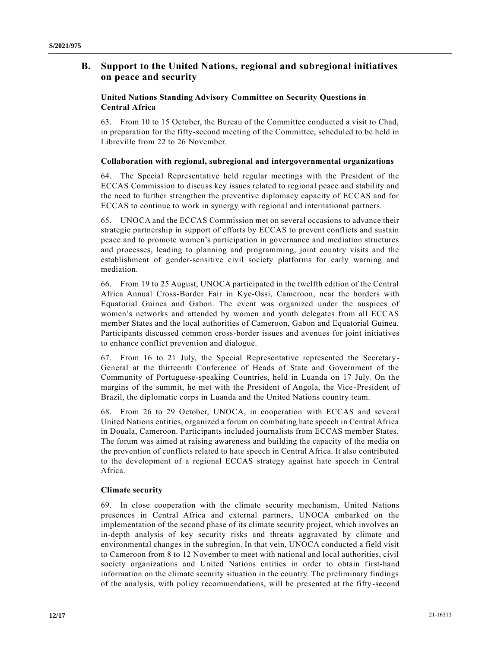# **B. Support to the United Nations, regional and subregional initiatives on peace and security**

## **United Nations Standing Advisory Committee on Security Questions in Central Africa**

63. From 10 to 15 October, the Bureau of the Committee conducted a visit to Chad, in preparation for the fifty-second meeting of the Committee, scheduled to be held in Libreville from 22 to 26 November.

## **Collaboration with regional, subregional and intergovernmental organizations**

64. The Special Representative held regular meetings with the President of the ECCAS Commission to discuss key issues related to regional peace and stability and the need to further strengthen the preventive diplomacy capacity of ECCAS and for ECCAS to continue to work in synergy with regional and international partners.

65. UNOCA and the ECCAS Commission met on several occasions to advance their strategic partnership in support of efforts by ECCAS to prevent conflicts and sustain peace and to promote women's participation in governance and mediation structures and processes, leading to planning and programming, joint country visits and the establishment of gender-sensitive civil society platforms for early warning and mediation.

66. From 19 to 25 August, UNOCA participated in the twelfth edition of the Central Africa Annual Cross-Border Fair in Kye-Ossi, Cameroon, near the borders with Equatorial Guinea and Gabon. The event was organized under the auspices of women's networks and attended by women and youth delegates from all ECCAS member States and the local authorities of Cameroon, Gabon and Equatorial Guinea. Participants discussed common cross-border issues and avenues for joint initiatives to enhance conflict prevention and dialogue.

67. From 16 to 21 July, the Special Representative represented the Secretary-General at the thirteenth Conference of Heads of State and Government of the Community of Portuguese-speaking Countries, held in Luanda on 17 July. On the margins of the summit, he met with the President of Angola, the Vice -President of Brazil, the diplomatic corps in Luanda and the United Nations country team.

68. From 26 to 29 October, UNOCA, in cooperation with ECCAS and several United Nations entities, organized a forum on combating hate speech in Central Africa in Douala, Cameroon. Participants included journalists from ECCAS member States. The forum was aimed at raising awareness and building the capacity of the media on the prevention of conflicts related to hate speech in Central Africa. It also contributed to the development of a regional ECCAS strategy against hate speech in Central Africa.

## **Climate security**

69. In close cooperation with the climate security mechanism, United Nations presences in Central Africa and external partners, UNOCA embarked on the implementation of the second phase of its climate security project, which involves an in-depth analysis of key security risks and threats aggravated by climate and environmental changes in the subregion. In that vein, UNOCA conducted a field visit to Cameroon from 8 to 12 November to meet with national and local authorities, civil society organizations and United Nations entities in order to obtain first-hand information on the climate security situation in the country. The preliminary findings of the analysis, with policy recommendations, will be presented at the fifty-second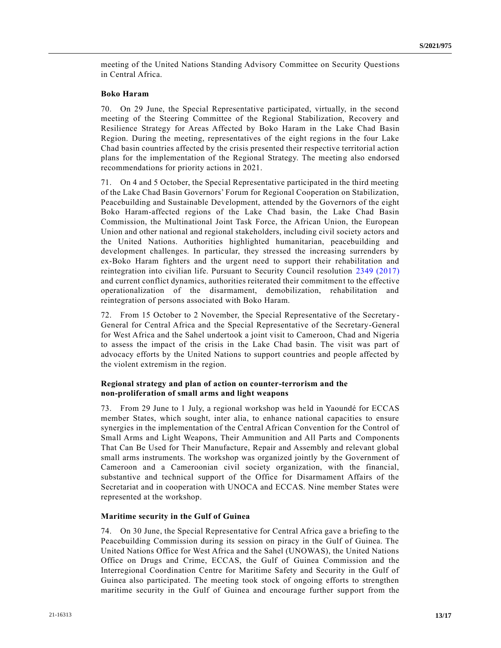meeting of the United Nations Standing Advisory Committee on Security Questions in Central Africa.

#### **Boko Haram**

70. On 29 June, the Special Representative participated, virtually, in the second meeting of the Steering Committee of the Regional Stabilization, Recovery and Resilience Strategy for Areas Affected by Boko Haram in the Lake Chad Basin Region. During the meeting, representatives of the eight regions in the four Lake Chad basin countries affected by the crisis presented their respective territorial action plans for the implementation of the Regional Strategy. The meeting also endorsed recommendations for priority actions in 2021.

71. On 4 and 5 October, the Special Representative participated in the third meeting of the Lake Chad Basin Governors' Forum for Regional Cooperation on Stabilization, Peacebuilding and Sustainable Development, attended by the Governors of the eight Boko Haram-affected regions of the Lake Chad basin, the Lake Chad Basin Commission, the Multinational Joint Task Force, the African Union, the European Union and other national and regional stakeholders, including civil society actors and the United Nations. Authorities highlighted humanitarian, peacebuilding and development challenges. In particular, they stressed the increasing surrenders by ex-Boko Haram fighters and the urgent need to support their rehabilitation and reintegration into civilian life. Pursuant to Security Council resolution [2349 \(2017\)](https://undocs.org/en/S/RES/2349(2017)) and current conflict dynamics, authorities reiterated their commitment to the effective operationalization of the disarmament, demobilization, rehabilitation and reintegration of persons associated with Boko Haram.

72. From 15 October to 2 November, the Special Representative of the Secretary-General for Central Africa and the Special Representative of the Secretary-General for West Africa and the Sahel undertook a joint visit to Cameroon, Chad and Nigeria to assess the impact of the crisis in the Lake Chad basin. The visit was part of advocacy efforts by the United Nations to support countries and people affected by the violent extremism in the region.

## **Regional strategy and plan of action on counter-terrorism and the non-proliferation of small arms and light weapons**

73. From 29 June to 1 July, a regional workshop was held in Yaoundé for ECCAS member States, which sought, inter alia, to enhance national capacities to ensure synergies in the implementation of the Central African Convention for the Control of Small Arms and Light Weapons, Their Ammunition and All Parts and Components That Can Be Used for Their Manufacture, Repair and Assembly and relevant global small arms instruments. The workshop was organized jointly by the Government of Cameroon and a Cameroonian civil society organization, with the financial, substantive and technical support of the Office for Disarmament Affairs of the Secretariat and in cooperation with UNOCA and ECCAS. Nine member States were represented at the workshop.

## **Maritime security in the Gulf of Guinea**

74. On 30 June, the Special Representative for Central Africa gave a briefing to the Peacebuilding Commission during its session on piracy in the Gulf of Guinea. The United Nations Office for West Africa and the Sahel (UNOWAS), the United Nations Office on Drugs and Crime, ECCAS, the Gulf of Guinea Commission and the Interregional Coordination Centre for Maritime Safety and Security in the Gulf of Guinea also participated. The meeting took stock of ongoing efforts to strengthen maritime security in the Gulf of Guinea and encourage further support from the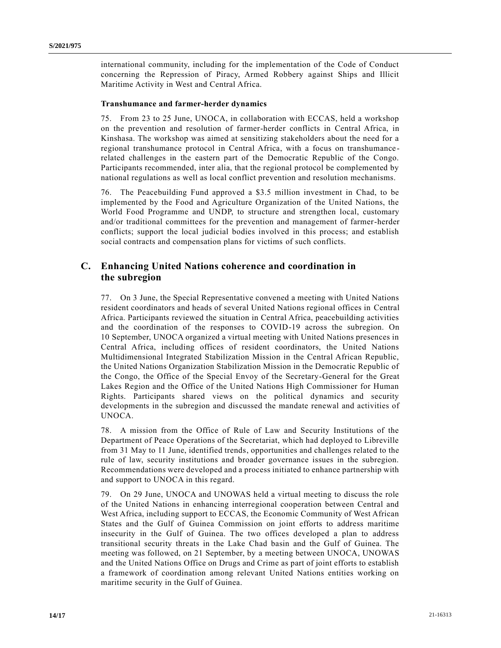international community, including for the implementation of the Code of Conduct concerning the Repression of Piracy, Armed Robbery against Ships and Illicit Maritime Activity in West and Central Africa.

#### **Transhumance and farmer-herder dynamics**

75. From 23 to 25 June, UNOCA, in collaboration with ECCAS, held a workshop on the prevention and resolution of farmer-herder conflicts in Central Africa, in Kinshasa. The workshop was aimed at sensitizing stakeholders about the need for a regional transhumance protocol in Central Africa, with a focus on transhumance related challenges in the eastern part of the Democratic Republic of the Congo. Participants recommended, inter alia, that the regional protocol be complemented by national regulations as well as local conflict prevention and resolution mechanisms.

76. The Peacebuilding Fund approved a \$3.5 million investment in Chad, to be implemented by the Food and Agriculture Organization of the United Nations, the World Food Programme and UNDP, to structure and strengthen local, customary and/or traditional committees for the prevention and management of farmer-herder conflicts; support the local judicial bodies involved in this process; and establish social contracts and compensation plans for victims of such conflicts.

## **C. Enhancing United Nations coherence and coordination in the subregion**

77. On 3 June, the Special Representative convened a meeting with United Nations resident coordinators and heads of several United Nations regional offices in Central Africa. Participants reviewed the situation in Central Africa, peacebuilding activities and the coordination of the responses to COVID-19 across the subregion. On 10 September, UNOCA organized a virtual meeting with United Nations presences in Central Africa, including offices of resident coordinators, the United Nations Multidimensional Integrated Stabilization Mission in the Central African Republic, the United Nations Organization Stabilization Mission in the Democratic Republic of the Congo, the Office of the Special Envoy of the Secretary-General for the Great Lakes Region and the Office of the United Nations High Commissioner for Human Rights. Participants shared views on the political dynamics and security developments in the subregion and discussed the mandate renewal and activities of UNOCA.

78. A mission from the Office of Rule of Law and Security Institutions of the Department of Peace Operations of the Secretariat, which had deployed to Libreville from 31 May to 11 June, identified trends, opportunities and challenges related to the rule of law, security institutions and broader governance issues in the subregion. Recommendations were developed and a process initiated to enhance partnership with and support to UNOCA in this regard.

79. On 29 June, UNOCA and UNOWAS held a virtual meeting to discuss the role of the United Nations in enhancing interregional cooperation between Central and West Africa, including support to ECCAS, the Economic Community of West African States and the Gulf of Guinea Commission on joint efforts to address maritime insecurity in the Gulf of Guinea. The two offices developed a plan to address transitional security threats in the Lake Chad basin and the Gulf of Guinea. The meeting was followed, on 21 September, by a meeting between UNOCA, UNOWAS and the United Nations Office on Drugs and Crime as part of joint efforts to establish a framework of coordination among relevant United Nations entities working on maritime security in the Gulf of Guinea.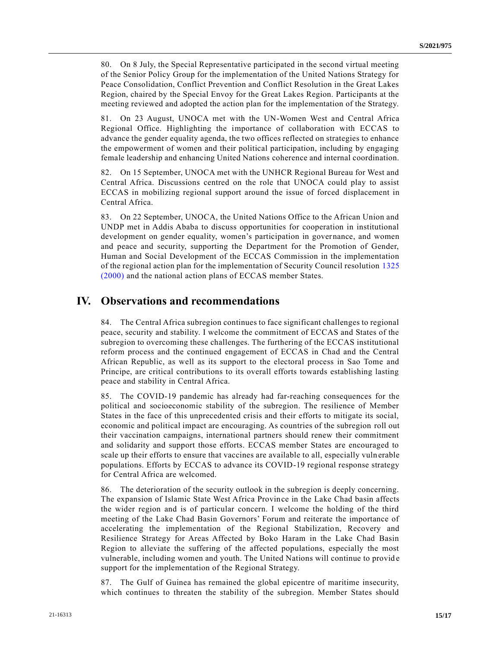80. On 8 July, the Special Representative participated in the second virtual meeting of the Senior Policy Group for the implementation of the United Nations Strategy for Peace Consolidation, Conflict Prevention and Conflict Resolution in the Great Lakes Region, chaired by the Special Envoy for the Great Lakes Region. Participants at the meeting reviewed and adopted the action plan for the implementation of the Strategy.

81. On 23 August, UNOCA met with the UN-Women West and Central Africa Regional Office. Highlighting the importance of collaboration with ECCAS to advance the gender equality agenda, the two offices reflected on strategies to enhance the empowerment of women and their political participation, including by engaging female leadership and enhancing United Nations coherence and internal coordination.

82. On 15 September, UNOCA met with the UNHCR Regional Bureau for West and Central Africa. Discussions centred on the role that UNOCA could play to assist ECCAS in mobilizing regional support around the issue of forced displacement in Central Africa.

83. On 22 September, UNOCA, the United Nations Office to the African Union and UNDP met in Addis Ababa to discuss opportunities for cooperation in institutional development on gender equality, women's participation in governance, and women and peace and security, supporting the Department for the Promotion of Gender, Human and Social Development of the ECCAS Commission in the implementation of the regional action plan for the implementation of Security Council resolution [1325](https://undocs.org/en/S/RES/1325(2000))  [\(2000\)](https://undocs.org/en/S/RES/1325(2000)) and the national action plans of ECCAS member States.

# **IV. Observations and recommendations**

84. The Central Africa subregion continues to face significant challenges to regional peace, security and stability. I welcome the commitment of ECCAS and States of the subregion to overcoming these challenges. The furthering of the ECCAS institutional reform process and the continued engagement of ECCAS in Chad and the Central African Republic, as well as its support to the electoral process in Sao Tome and Principe, are critical contributions to its overall efforts towards establishing lasting peace and stability in Central Africa.

85. The COVID-19 pandemic has already had far-reaching consequences for the political and socioeconomic stability of the subregion. The resilience of Member States in the face of this unprecedented crisis and their efforts to mitigate its social, economic and political impact are encouraging. As countries of the subregion roll out their vaccination campaigns, international partners should renew their commitment and solidarity and support those efforts. ECCAS member States are encouraged to scale up their efforts to ensure that vaccines are available to all, especially vuln erable populations. Efforts by ECCAS to advance its COVID-19 regional response strategy for Central Africa are welcomed.

86. The deterioration of the security outlook in the subregion is deeply concerning. The expansion of Islamic State West Africa Province in the Lake Chad basin affects the wider region and is of particular concern. I welcome the holding of the third meeting of the Lake Chad Basin Governors' Forum and reiterate the importance of accelerating the implementation of the Regional Stabilization, Recovery and Resilience Strategy for Areas Affected by Boko Haram in the Lake Chad Basin Region to alleviate the suffering of the affected populations, especially the most vulnerable, including women and youth. The United Nations will continue to provid e support for the implementation of the Regional Strategy.

87. The Gulf of Guinea has remained the global epicentre of maritime insecurity, which continues to threaten the stability of the subregion. Member States should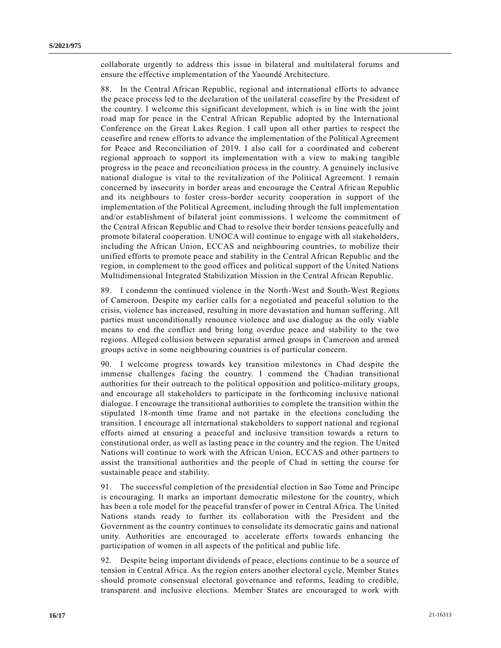collaborate urgently to address this issue in bilateral and multilateral forums and ensure the effective implementation of the Yaoundé Architecture.

88. In the Central African Republic, regional and international efforts to advance the peace process led to the declaration of the unilateral ceasefire by the President of the country. I welcome this significant development, which is in line with the joint road map for peace in the Central African Republic adopted by the International Conference on the Great Lakes Region. I call upon all other parties to respect the ceasefire and renew efforts to advance the implementation of the Political Agreement for Peace and Reconciliation of 2019. I also call for a coordinated and coherent regional approach to support its implementation with a view to making tangible progress in the peace and reconciliation process in the country. A genuinely inclusive national dialogue is vital to the revitalization of the Political Agreement. I remain concerned by insecurity in border areas and encourage the Central Afric an Republic and its neighbours to foster cross-border security cooperation in support of the implementation of the Political Agreement, including through the full implementation and/or establishment of bilateral joint commissions. I welcome the commitment of the Central African Republic and Chad to resolve their border tensions peacefully and promote bilateral cooperation. UNOCA will continue to engage with all stakeholders, including the African Union, ECCAS and neighbouring countries, to mobilize their unified efforts to promote peace and stability in the Central African Republic and the region, in complement to the good offices and political support of the United Nations Multidimensional Integrated Stabilization Mission in the Central African Republic.

89. I condemn the continued violence in the North-West and South-West Regions of Cameroon. Despite my earlier calls for a negotiated and peaceful solution to the crisis, violence has increased, resulting in more devastation and human suffering. All parties must unconditionally renounce violence and use dialogue as the only viable means to end the conflict and bring long overdue peace and stability to the two regions. Alleged collusion between separatist armed groups in Cameroon and armed groups active in some neighbouring countries is of particular concern.

90. I welcome progress towards key transition milestones in Chad despite the immense challenges facing the country. I commend the Chadian transitional authorities for their outreach to the political opposition and politico-military groups, and encourage all stakeholders to participate in the forthcoming inclusive national dialogue. I encourage the transitional authorities to complete the transition within the stipulated 18-month time frame and not partake in the elections concluding the transition. I encourage all international stakeholders to support national and regional efforts aimed at ensuring a peaceful and inclusive transition towards a return to constitutional order, as well as lasting peace in the country and the region. The United Nations will continue to work with the African Union, ECCAS and other partners to assist the transitional authorities and the people of Chad in setting the course for sustainable peace and stability.

91. The successful completion of the presidential election in Sao Tome and Principe is encouraging. It marks an important democratic milestone for the country, which has been a role model for the peaceful transfer of power in Central Africa. The United Nations stands ready to further its collaboration with the President and the Government as the country continues to consolidate its democratic gains and national unity. Authorities are encouraged to accelerate efforts towards enhancing the participation of women in all aspects of the political and public life.

92. Despite being important dividends of peace, elections continue to be a source of tension in Central Africa. As the region enters another electoral cycle, Member States should promote consensual electoral governance and reforms, leading to credible, transparent and inclusive elections. Member States are encouraged to work with